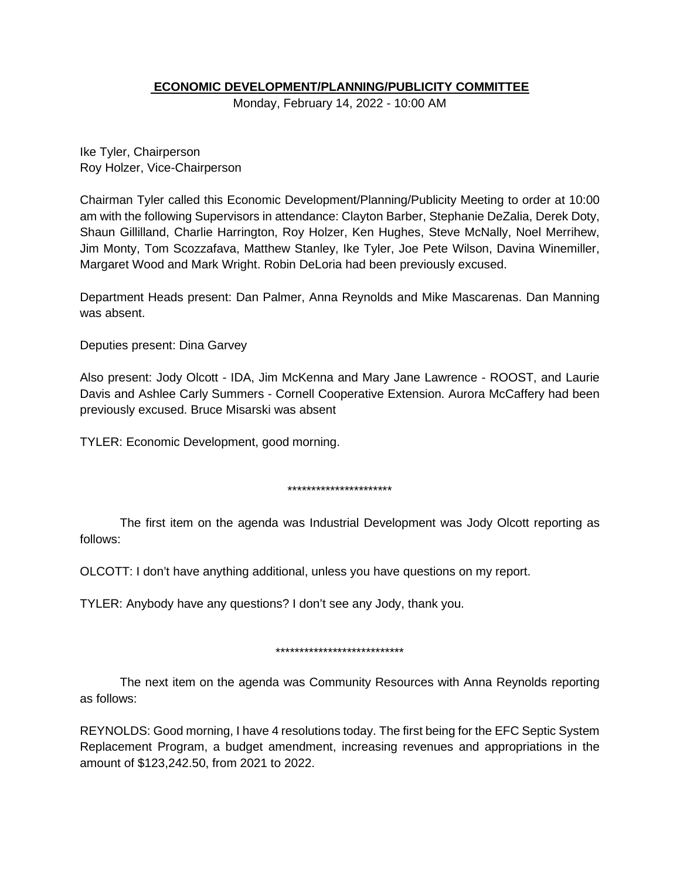### **ECONOMIC DEVELOPMENT/PLANNING/PUBLICITY COMMITTEE**

Monday, February 14, 2022 - 10:00 AM

Ike Tyler, Chairperson Roy Holzer, Vice-Chairperson

Chairman Tyler called this Economic Development/Planning/Publicity Meeting to order at 10:00 am with the following Supervisors in attendance: Clayton Barber, Stephanie DeZalia, Derek Doty, Shaun Gillilland, Charlie Harrington, Roy Holzer, Ken Hughes, Steve McNally, Noel Merrihew, Jim Monty, Tom Scozzafava, Matthew Stanley, Ike Tyler, Joe Pete Wilson, Davina Winemiller, Margaret Wood and Mark Wright. Robin DeLoria had been previously excused.

Department Heads present: Dan Palmer, Anna Reynolds and Mike Mascarenas. Dan Manning was absent.

Deputies present: Dina Garvey

Also present: Jody Olcott - IDA, Jim McKenna and Mary Jane Lawrence - ROOST, and Laurie Davis and Ashlee Carly Summers - Cornell Cooperative Extension. Aurora McCaffery had been previously excused. Bruce Misarski was absent

TYLER: Economic Development, good morning.

\*\*\*\*\*\*\*\*\*\*\*\*\*\*\*\*\*\*\*\*\*\*

The first item on the agenda was Industrial Development was Jody Olcott reporting as follows:

OLCOTT: I don't have anything additional, unless you have questions on my report.

TYLER: Anybody have any questions? I don't see any Jody, thank you.

\*\*\*\*\*\*\*\*\*\*\*\*\*\*\*\*\*\*\*\*\*\*\*\*\*\*\*

The next item on the agenda was Community Resources with Anna Reynolds reporting as follows:

REYNOLDS: Good morning, I have 4 resolutions today. The first being for the EFC Septic System Replacement Program, a budget amendment, increasing revenues and appropriations in the amount of \$123,242.50, from 2021 to 2022.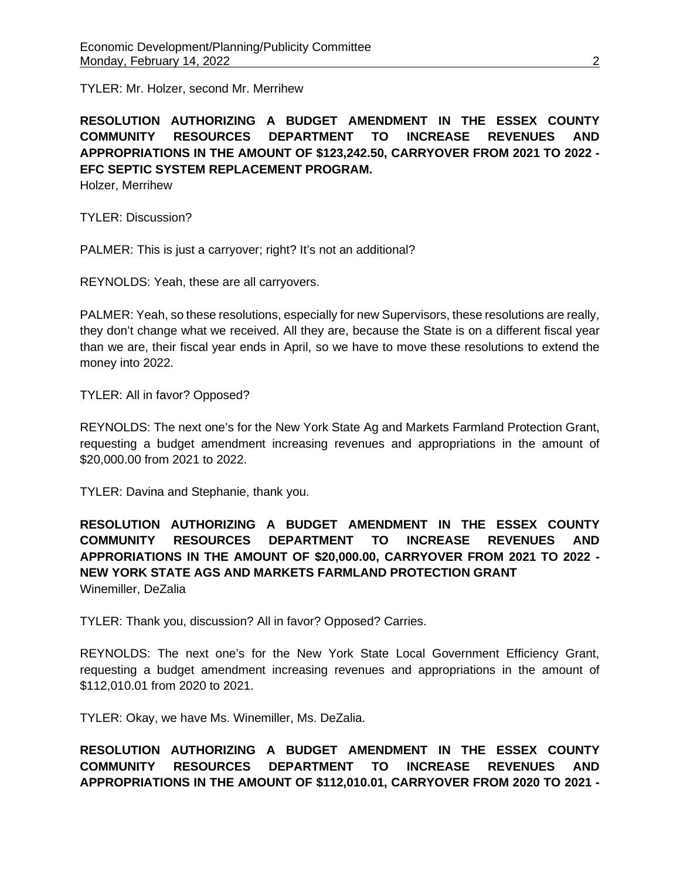TYLER: Mr. Holzer, second Mr. Merrihew

**RESOLUTION AUTHORIZING A BUDGET AMENDMENT IN THE ESSEX COUNTY COMMUNITY RESOURCES DEPARTMENT TO INCREASE REVENUES AND APPROPRIATIONS IN THE AMOUNT OF \$123,242.50, CARRYOVER FROM 2021 TO 2022 - EFC SEPTIC SYSTEM REPLACEMENT PROGRAM.** 

Holzer, Merrihew

TYLER: Discussion?

PALMER: This is just a carryover; right? It's not an additional?

REYNOLDS: Yeah, these are all carryovers.

PALMER: Yeah, so these resolutions, especially for new Supervisors, these resolutions are really, they don't change what we received. All they are, because the State is on a different fiscal year than we are, their fiscal year ends in April, so we have to move these resolutions to extend the money into 2022.

TYLER: All in favor? Opposed?

REYNOLDS: The next one's for the New York State Ag and Markets Farmland Protection Grant, requesting a budget amendment increasing revenues and appropriations in the amount of \$20,000.00 from 2021 to 2022.

TYLER: Davina and Stephanie, thank you.

**RESOLUTION AUTHORIZING A BUDGET AMENDMENT IN THE ESSEX COUNTY COMMUNITY RESOURCES DEPARTMENT TO INCREASE REVENUES AND APPRORIATIONS IN THE AMOUNT OF \$20,000.00, CARRYOVER FROM 2021 TO 2022 - NEW YORK STATE AGS AND MARKETS FARMLAND PROTECTION GRANT** Winemiller, DeZalia

TYLER: Thank you, discussion? All in favor? Opposed? Carries.

REYNOLDS: The next one's for the New York State Local Government Efficiency Grant, requesting a budget amendment increasing revenues and appropriations in the amount of \$112,010.01 from 2020 to 2021.

TYLER: Okay, we have Ms. Winemiller, Ms. DeZalia.

**RESOLUTION AUTHORIZING A BUDGET AMENDMENT IN THE ESSEX COUNTY COMMUNITY RESOURCES DEPARTMENT TO INCREASE REVENUES AND APPROPRIATIONS IN THE AMOUNT OF \$112,010.01, CARRYOVER FROM 2020 TO 2021 -**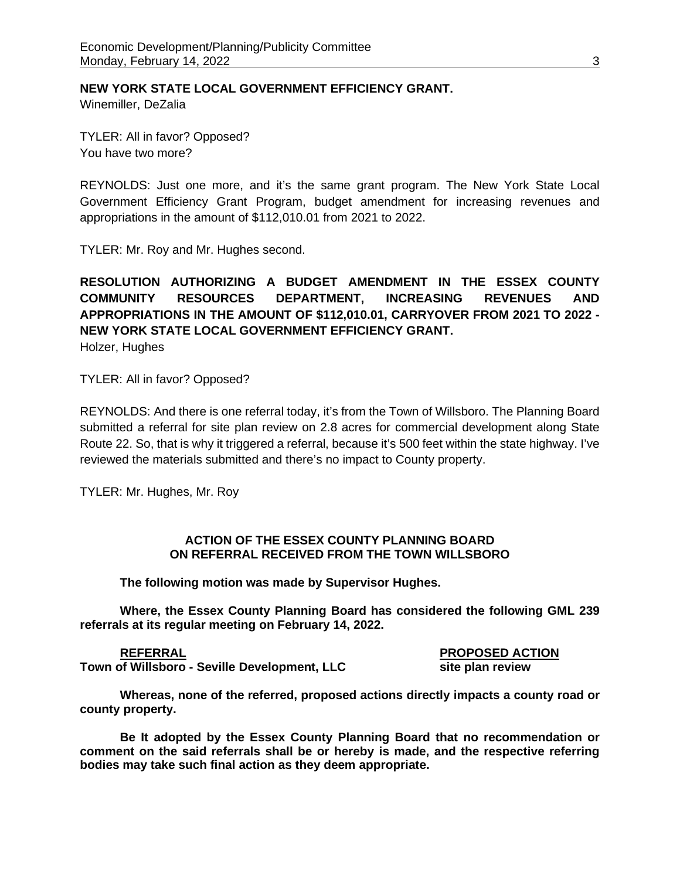**NEW YORK STATE LOCAL GOVERNMENT EFFICIENCY GRANT.** 

Winemiller, DeZalia

TYLER: All in favor? Opposed? You have two more?

REYNOLDS: Just one more, and it's the same grant program. The New York State Local Government Efficiency Grant Program, budget amendment for increasing revenues and appropriations in the amount of \$112,010.01 from 2021 to 2022.

TYLER: Mr. Roy and Mr. Hughes second.

# **RESOLUTION AUTHORIZING A BUDGET AMENDMENT IN THE ESSEX COUNTY COMMUNITY RESOURCES DEPARTMENT, INCREASING REVENUES AND APPROPRIATIONS IN THE AMOUNT OF \$112,010.01, CARRYOVER FROM 2021 TO 2022 - NEW YORK STATE LOCAL GOVERNMENT EFFICIENCY GRANT.**

Holzer, Hughes

TYLER: All in favor? Opposed?

REYNOLDS: And there is one referral today, it's from the Town of Willsboro. The Planning Board submitted a referral for site plan review on 2.8 acres for commercial development along State Route 22. So, that is why it triggered a referral, because it's 500 feet within the state highway. I've reviewed the materials submitted and there's no impact to County property.

TYLER: Mr. Hughes, Mr. Roy

#### **ACTION OF THE ESSEX COUNTY PLANNING BOARD ON REFERRAL RECEIVED FROM THE TOWN WILLSBORO**

**The following motion was made by Supervisor Hughes.**

**Where, the Essex County Planning Board has considered the following GML 239 referrals at its regular meeting on February 14, 2022.**

**REFERRAL PROPOSED ACTION Town of Willsboro - Seville Development, LLC** 

**Whereas, none of the referred, proposed actions directly impacts a county road or county property.**

**Be It adopted by the Essex County Planning Board that no recommendation or comment on the said referrals shall be or hereby is made, and the respective referring bodies may take such final action as they deem appropriate.**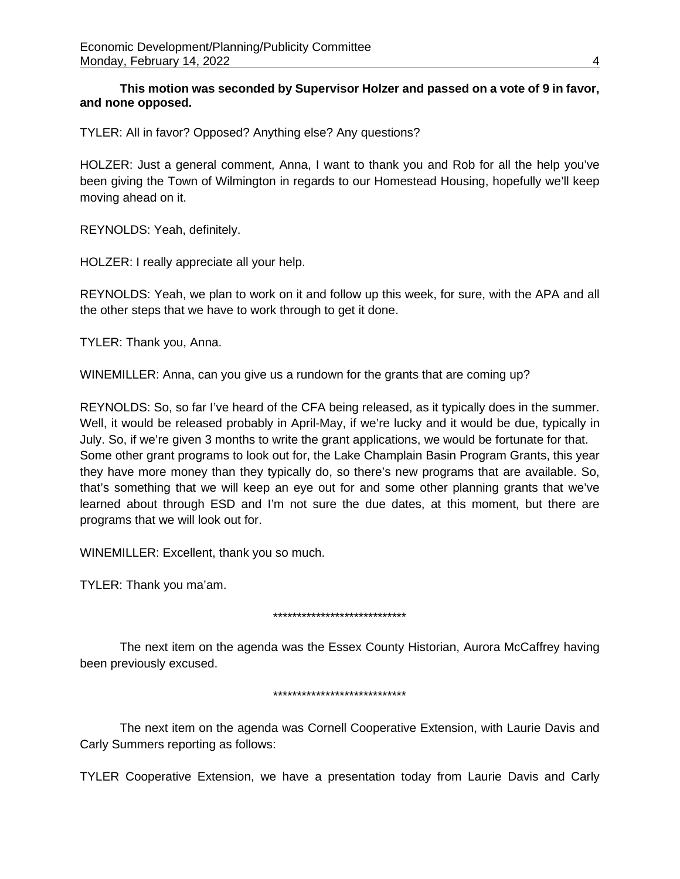**This motion was seconded by Supervisor Holzer and passed on a vote of 9 in favor, and none opposed.**

TYLER: All in favor? Opposed? Anything else? Any questions?

HOLZER: Just a general comment, Anna, I want to thank you and Rob for all the help you've been giving the Town of Wilmington in regards to our Homestead Housing, hopefully we'll keep moving ahead on it.

REYNOLDS: Yeah, definitely.

HOLZER: I really appreciate all your help.

REYNOLDS: Yeah, we plan to work on it and follow up this week, for sure, with the APA and all the other steps that we have to work through to get it done.

TYLER: Thank you, Anna.

WINEMILLER: Anna, can you give us a rundown for the grants that are coming up?

REYNOLDS: So, so far I've heard of the CFA being released, as it typically does in the summer. Well, it would be released probably in April-May, if we're lucky and it would be due, typically in July. So, if we're given 3 months to write the grant applications, we would be fortunate for that. Some other grant programs to look out for, the Lake Champlain Basin Program Grants, this year they have more money than they typically do, so there's new programs that are available. So, that's something that we will keep an eye out for and some other planning grants that we've learned about through ESD and I'm not sure the due dates, at this moment, but there are programs that we will look out for.

WINEMILLER: Excellent, thank you so much.

TYLER: Thank you ma'am.

#### \*\*\*\*\*\*\*\*\*\*\*\*\*\*\*\*\*\*\*\*\*\*\*\*\*\*\*\*

The next item on the agenda was the Essex County Historian, Aurora McCaffrey having been previously excused.

#### \*\*\*\*\*\*\*\*\*\*\*\*\*\*\*\*\*\*\*\*\*\*\*\*\*\*\*\*

The next item on the agenda was Cornell Cooperative Extension, with Laurie Davis and Carly Summers reporting as follows:

TYLER Cooperative Extension, we have a presentation today from Laurie Davis and Carly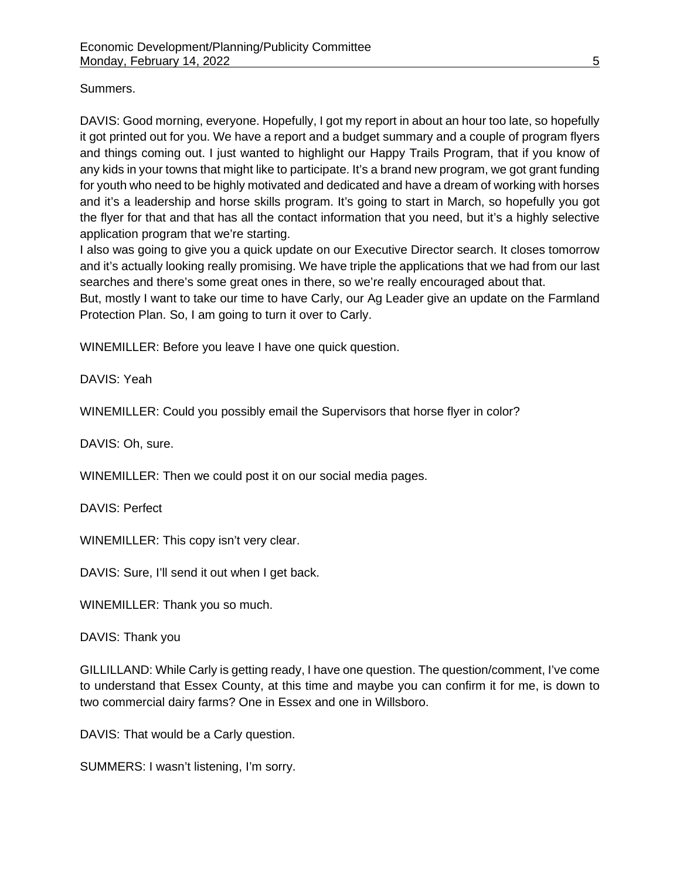## Summers.

DAVIS: Good morning, everyone. Hopefully, I got my report in about an hour too late, so hopefully it got printed out for you. We have a report and a budget summary and a couple of program flyers and things coming out. I just wanted to highlight our Happy Trails Program, that if you know of any kids in your towns that might like to participate. It's a brand new program, we got grant funding for youth who need to be highly motivated and dedicated and have a dream of working with horses and it's a leadership and horse skills program. It's going to start in March, so hopefully you got the flyer for that and that has all the contact information that you need, but it's a highly selective application program that we're starting.

I also was going to give you a quick update on our Executive Director search. It closes tomorrow and it's actually looking really promising. We have triple the applications that we had from our last searches and there's some great ones in there, so we're really encouraged about that.

But, mostly I want to take our time to have Carly, our Ag Leader give an update on the Farmland Protection Plan. So, I am going to turn it over to Carly.

WINEMILLER: Before you leave I have one quick question.

DAVIS: Yeah

WINEMILLER: Could you possibly email the Supervisors that horse flyer in color?

DAVIS: Oh, sure.

WINEMILLER: Then we could post it on our social media pages.

DAVIS: Perfect

WINEMILLER: This copy isn't very clear.

DAVIS: Sure, I'll send it out when I get back.

WINEMILLER: Thank you so much.

DAVIS: Thank you

GILLILLAND: While Carly is getting ready, I have one question. The question/comment, I've come to understand that Essex County, at this time and maybe you can confirm it for me, is down to two commercial dairy farms? One in Essex and one in Willsboro.

DAVIS: That would be a Carly question.

SUMMERS: I wasn't listening, I'm sorry.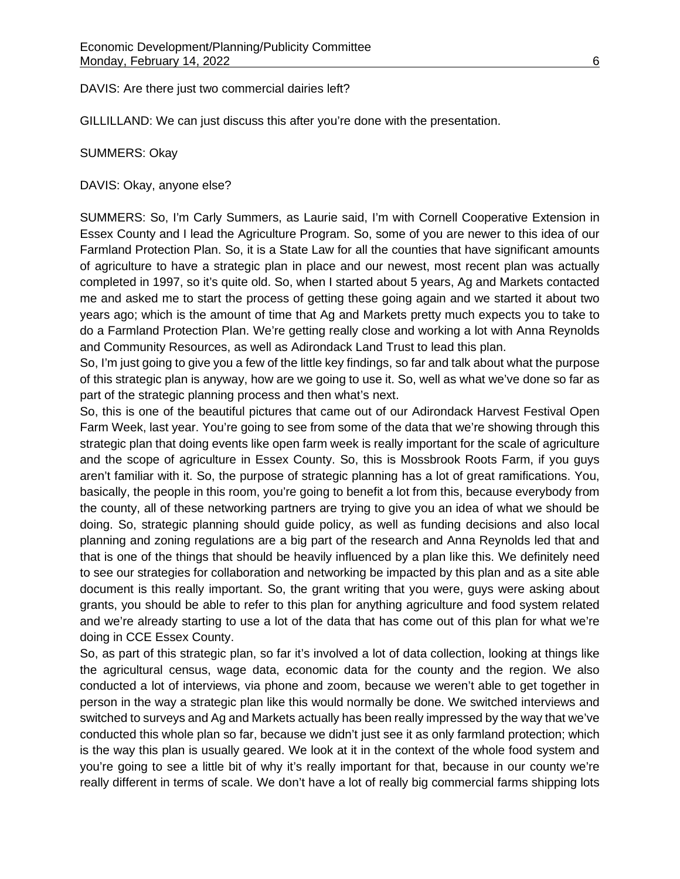DAVIS: Are there just two commercial dairies left?

GILLILLAND: We can just discuss this after you're done with the presentation.

#### SUMMERS: Okay

DAVIS: Okay, anyone else?

SUMMERS: So, I'm Carly Summers, as Laurie said, I'm with Cornell Cooperative Extension in Essex County and I lead the Agriculture Program. So, some of you are newer to this idea of our Farmland Protection Plan. So, it is a State Law for all the counties that have significant amounts of agriculture to have a strategic plan in place and our newest, most recent plan was actually completed in 1997, so it's quite old. So, when I started about 5 years, Ag and Markets contacted me and asked me to start the process of getting these going again and we started it about two years ago; which is the amount of time that Ag and Markets pretty much expects you to take to do a Farmland Protection Plan. We're getting really close and working a lot with Anna Reynolds and Community Resources, as well as Adirondack Land Trust to lead this plan.

So, I'm just going to give you a few of the little key findings, so far and talk about what the purpose of this strategic plan is anyway, how are we going to use it. So, well as what we've done so far as part of the strategic planning process and then what's next.

So, this is one of the beautiful pictures that came out of our Adirondack Harvest Festival Open Farm Week, last year. You're going to see from some of the data that we're showing through this strategic plan that doing events like open farm week is really important for the scale of agriculture and the scope of agriculture in Essex County. So, this is Mossbrook Roots Farm, if you guys aren't familiar with it. So, the purpose of strategic planning has a lot of great ramifications. You, basically, the people in this room, you're going to benefit a lot from this, because everybody from the county, all of these networking partners are trying to give you an idea of what we should be doing. So, strategic planning should guide policy, as well as funding decisions and also local planning and zoning regulations are a big part of the research and Anna Reynolds led that and that is one of the things that should be heavily influenced by a plan like this. We definitely need to see our strategies for collaboration and networking be impacted by this plan and as a site able document is this really important. So, the grant writing that you were, guys were asking about grants, you should be able to refer to this plan for anything agriculture and food system related and we're already starting to use a lot of the data that has come out of this plan for what we're doing in CCE Essex County.

So, as part of this strategic plan, so far it's involved a lot of data collection, looking at things like the agricultural census, wage data, economic data for the county and the region. We also conducted a lot of interviews, via phone and zoom, because we weren't able to get together in person in the way a strategic plan like this would normally be done. We switched interviews and switched to surveys and Ag and Markets actually has been really impressed by the way that we've conducted this whole plan so far, because we didn't just see it as only farmland protection; which is the way this plan is usually geared. We look at it in the context of the whole food system and you're going to see a little bit of why it's really important for that, because in our county we're really different in terms of scale. We don't have a lot of really big commercial farms shipping lots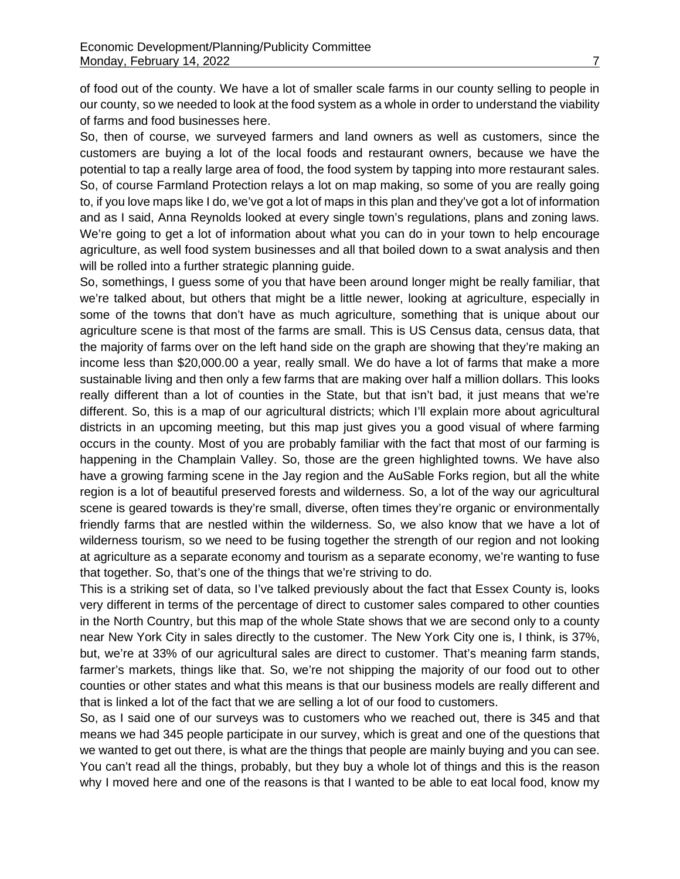of food out of the county. We have a lot of smaller scale farms in our county selling to people in our county, so we needed to look at the food system as a whole in order to understand the viability of farms and food businesses here.

So, then of course, we surveyed farmers and land owners as well as customers, since the customers are buying a lot of the local foods and restaurant owners, because we have the potential to tap a really large area of food, the food system by tapping into more restaurant sales. So, of course Farmland Protection relays a lot on map making, so some of you are really going to, if you love maps like I do, we've got a lot of maps in this plan and they've got a lot of information and as I said, Anna Reynolds looked at every single town's regulations, plans and zoning laws. We're going to get a lot of information about what you can do in your town to help encourage agriculture, as well food system businesses and all that boiled down to a swat analysis and then will be rolled into a further strategic planning guide.

So, somethings, I guess some of you that have been around longer might be really familiar, that we're talked about, but others that might be a little newer, looking at agriculture, especially in some of the towns that don't have as much agriculture, something that is unique about our agriculture scene is that most of the farms are small. This is US Census data, census data, that the majority of farms over on the left hand side on the graph are showing that they're making an income less than \$20,000.00 a year, really small. We do have a lot of farms that make a more sustainable living and then only a few farms that are making over half a million dollars. This looks really different than a lot of counties in the State, but that isn't bad, it just means that we're different. So, this is a map of our agricultural districts; which I'll explain more about agricultural districts in an upcoming meeting, but this map just gives you a good visual of where farming occurs in the county. Most of you are probably familiar with the fact that most of our farming is happening in the Champlain Valley. So, those are the green highlighted towns. We have also have a growing farming scene in the Jay region and the AuSable Forks region, but all the white region is a lot of beautiful preserved forests and wilderness. So, a lot of the way our agricultural scene is geared towards is they're small, diverse, often times they're organic or environmentally friendly farms that are nestled within the wilderness. So, we also know that we have a lot of wilderness tourism, so we need to be fusing together the strength of our region and not looking at agriculture as a separate economy and tourism as a separate economy, we're wanting to fuse that together. So, that's one of the things that we're striving to do.

This is a striking set of data, so I've talked previously about the fact that Essex County is, looks very different in terms of the percentage of direct to customer sales compared to other counties in the North Country, but this map of the whole State shows that we are second only to a county near New York City in sales directly to the customer. The New York City one is, I think, is 37%, but, we're at 33% of our agricultural sales are direct to customer. That's meaning farm stands, farmer's markets, things like that. So, we're not shipping the majority of our food out to other counties or other states and what this means is that our business models are really different and that is linked a lot of the fact that we are selling a lot of our food to customers.

So, as I said one of our surveys was to customers who we reached out, there is 345 and that means we had 345 people participate in our survey, which is great and one of the questions that we wanted to get out there, is what are the things that people are mainly buying and you can see. You can't read all the things, probably, but they buy a whole lot of things and this is the reason why I moved here and one of the reasons is that I wanted to be able to eat local food, know my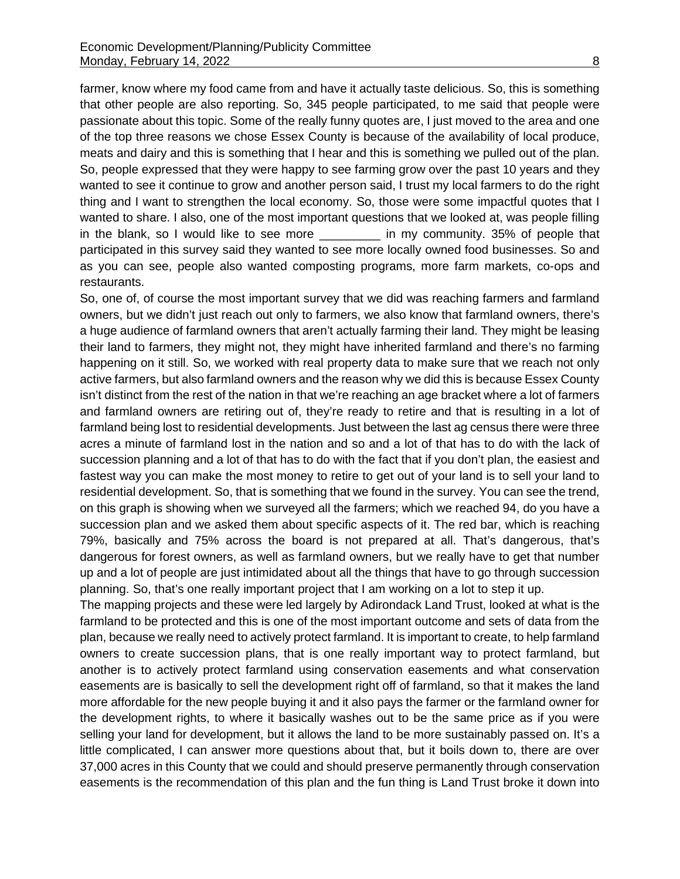farmer, know where my food came from and have it actually taste delicious. So, this is something that other people are also reporting. So, 345 people participated, to me said that people were passionate about this topic. Some of the really funny quotes are, I just moved to the area and one of the top three reasons we chose Essex County is because of the availability of local produce, meats and dairy and this is something that I hear and this is something we pulled out of the plan. So, people expressed that they were happy to see farming grow over the past 10 years and they wanted to see it continue to grow and another person said, I trust my local farmers to do the right thing and I want to strengthen the local economy. So, those were some impactful quotes that I wanted to share. I also, one of the most important questions that we looked at, was people filling in the blank, so I would like to see more \_\_\_\_\_\_\_\_\_\_ in my community. 35% of people that participated in this survey said they wanted to see more locally owned food businesses. So and as you can see, people also wanted composting programs, more farm markets, co-ops and restaurants.

So, one of, of course the most important survey that we did was reaching farmers and farmland owners, but we didn't just reach out only to farmers, we also know that farmland owners, there's a huge audience of farmland owners that aren't actually farming their land. They might be leasing their land to farmers, they might not, they might have inherited farmland and there's no farming happening on it still. So, we worked with real property data to make sure that we reach not only active farmers, but also farmland owners and the reason why we did this is because Essex County isn't distinct from the rest of the nation in that we're reaching an age bracket where a lot of farmers and farmland owners are retiring out of, they're ready to retire and that is resulting in a lot of farmland being lost to residential developments. Just between the last ag census there were three acres a minute of farmland lost in the nation and so and a lot of that has to do with the lack of succession planning and a lot of that has to do with the fact that if you don't plan, the easiest and fastest way you can make the most money to retire to get out of your land is to sell your land to residential development. So, that is something that we found in the survey. You can see the trend, on this graph is showing when we surveyed all the farmers; which we reached 94, do you have a succession plan and we asked them about specific aspects of it. The red bar, which is reaching 79%, basically and 75% across the board is not prepared at all. That's dangerous, that's dangerous for forest owners, as well as farmland owners, but we really have to get that number up and a lot of people are just intimidated about all the things that have to go through succession planning. So, that's one really important project that I am working on a lot to step it up.

The mapping projects and these were led largely by Adirondack Land Trust, looked at what is the farmland to be protected and this is one of the most important outcome and sets of data from the plan, because we really need to actively protect farmland. It is important to create, to help farmland owners to create succession plans, that is one really important way to protect farmland, but another is to actively protect farmland using conservation easements and what conservation easements are is basically to sell the development right off of farmland, so that it makes the land more affordable for the new people buying it and it also pays the farmer or the farmland owner for the development rights, to where it basically washes out to be the same price as if you were selling your land for development, but it allows the land to be more sustainably passed on. It's a little complicated, I can answer more questions about that, but it boils down to, there are over 37,000 acres in this County that we could and should preserve permanently through conservation easements is the recommendation of this plan and the fun thing is Land Trust broke it down into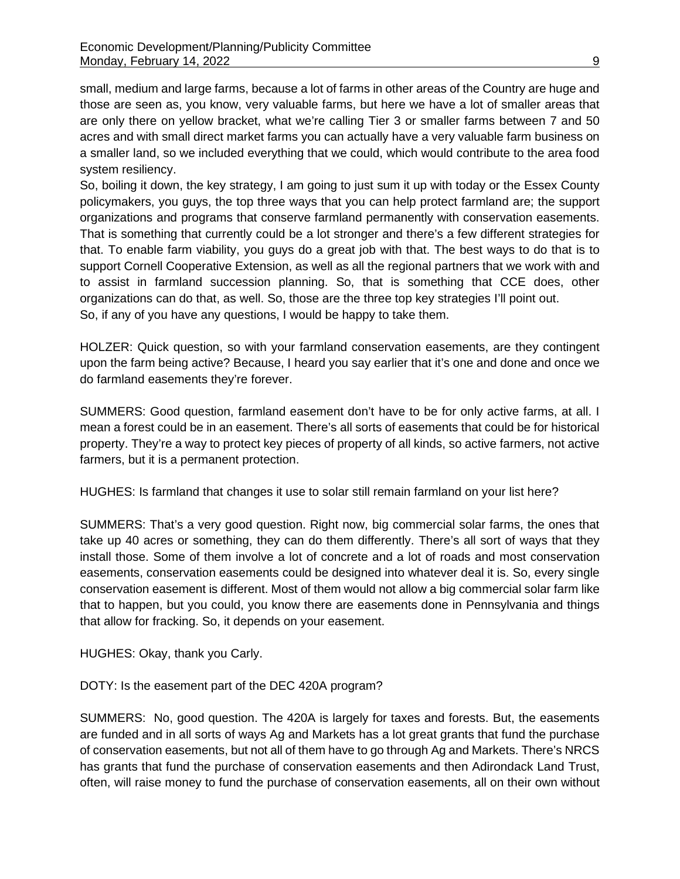small, medium and large farms, because a lot of farms in other areas of the Country are huge and those are seen as, you know, very valuable farms, but here we have a lot of smaller areas that are only there on yellow bracket, what we're calling Tier 3 or smaller farms between 7 and 50 acres and with small direct market farms you can actually have a very valuable farm business on a smaller land, so we included everything that we could, which would contribute to the area food system resiliency.

So, boiling it down, the key strategy, I am going to just sum it up with today or the Essex County policymakers, you guys, the top three ways that you can help protect farmland are; the support organizations and programs that conserve farmland permanently with conservation easements. That is something that currently could be a lot stronger and there's a few different strategies for that. To enable farm viability, you guys do a great job with that. The best ways to do that is to support Cornell Cooperative Extension, as well as all the regional partners that we work with and to assist in farmland succession planning. So, that is something that CCE does, other organizations can do that, as well. So, those are the three top key strategies I'll point out. So, if any of you have any questions, I would be happy to take them.

HOLZER: Quick question, so with your farmland conservation easements, are they contingent upon the farm being active? Because, I heard you say earlier that it's one and done and once we do farmland easements they're forever.

SUMMERS: Good question, farmland easement don't have to be for only active farms, at all. I mean a forest could be in an easement. There's all sorts of easements that could be for historical property. They're a way to protect key pieces of property of all kinds, so active farmers, not active farmers, but it is a permanent protection.

HUGHES: Is farmland that changes it use to solar still remain farmland on your list here?

SUMMERS: That's a very good question. Right now, big commercial solar farms, the ones that take up 40 acres or something, they can do them differently. There's all sort of ways that they install those. Some of them involve a lot of concrete and a lot of roads and most conservation easements, conservation easements could be designed into whatever deal it is. So, every single conservation easement is different. Most of them would not allow a big commercial solar farm like that to happen, but you could, you know there are easements done in Pennsylvania and things that allow for fracking. So, it depends on your easement.

HUGHES: Okay, thank you Carly.

DOTY: Is the easement part of the DEC 420A program?

SUMMERS: No, good question. The 420A is largely for taxes and forests. But, the easements are funded and in all sorts of ways Ag and Markets has a lot great grants that fund the purchase of conservation easements, but not all of them have to go through Ag and Markets. There's NRCS has grants that fund the purchase of conservation easements and then Adirondack Land Trust, often, will raise money to fund the purchase of conservation easements, all on their own without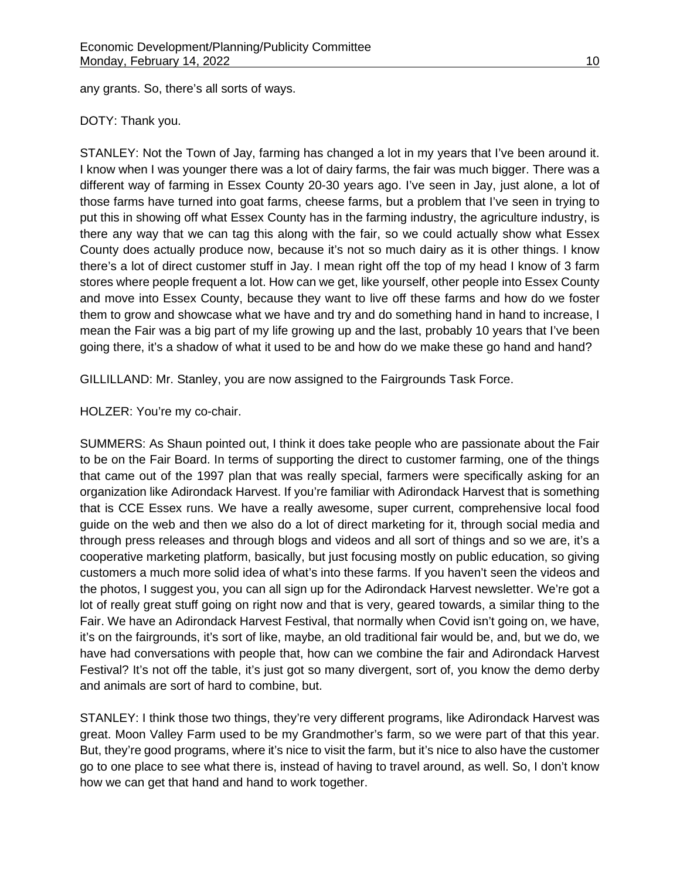any grants. So, there's all sorts of ways.

#### DOTY: Thank you.

STANLEY: Not the Town of Jay, farming has changed a lot in my years that I've been around it. I know when I was younger there was a lot of dairy farms, the fair was much bigger. There was a different way of farming in Essex County 20-30 years ago. I've seen in Jay, just alone, a lot of those farms have turned into goat farms, cheese farms, but a problem that I've seen in trying to put this in showing off what Essex County has in the farming industry, the agriculture industry, is there any way that we can tag this along with the fair, so we could actually show what Essex County does actually produce now, because it's not so much dairy as it is other things. I know there's a lot of direct customer stuff in Jay. I mean right off the top of my head I know of 3 farm stores where people frequent a lot. How can we get, like yourself, other people into Essex County and move into Essex County, because they want to live off these farms and how do we foster them to grow and showcase what we have and try and do something hand in hand to increase, I mean the Fair was a big part of my life growing up and the last, probably 10 years that I've been going there, it's a shadow of what it used to be and how do we make these go hand and hand?

GILLILLAND: Mr. Stanley, you are now assigned to the Fairgrounds Task Force.

### HOLZER: You're my co-chair.

SUMMERS: As Shaun pointed out, I think it does take people who are passionate about the Fair to be on the Fair Board. In terms of supporting the direct to customer farming, one of the things that came out of the 1997 plan that was really special, farmers were specifically asking for an organization like Adirondack Harvest. If you're familiar with Adirondack Harvest that is something that is CCE Essex runs. We have a really awesome, super current, comprehensive local food guide on the web and then we also do a lot of direct marketing for it, through social media and through press releases and through blogs and videos and all sort of things and so we are, it's a cooperative marketing platform, basically, but just focusing mostly on public education, so giving customers a much more solid idea of what's into these farms. If you haven't seen the videos and the photos, I suggest you, you can all sign up for the Adirondack Harvest newsletter. We're got a lot of really great stuff going on right now and that is very, geared towards, a similar thing to the Fair. We have an Adirondack Harvest Festival, that normally when Covid isn't going on, we have, it's on the fairgrounds, it's sort of like, maybe, an old traditional fair would be, and, but we do, we have had conversations with people that, how can we combine the fair and Adirondack Harvest Festival? It's not off the table, it's just got so many divergent, sort of, you know the demo derby and animals are sort of hard to combine, but.

STANLEY: I think those two things, they're very different programs, like Adirondack Harvest was great. Moon Valley Farm used to be my Grandmother's farm, so we were part of that this year. But, they're good programs, where it's nice to visit the farm, but it's nice to also have the customer go to one place to see what there is, instead of having to travel around, as well. So, I don't know how we can get that hand and hand to work together.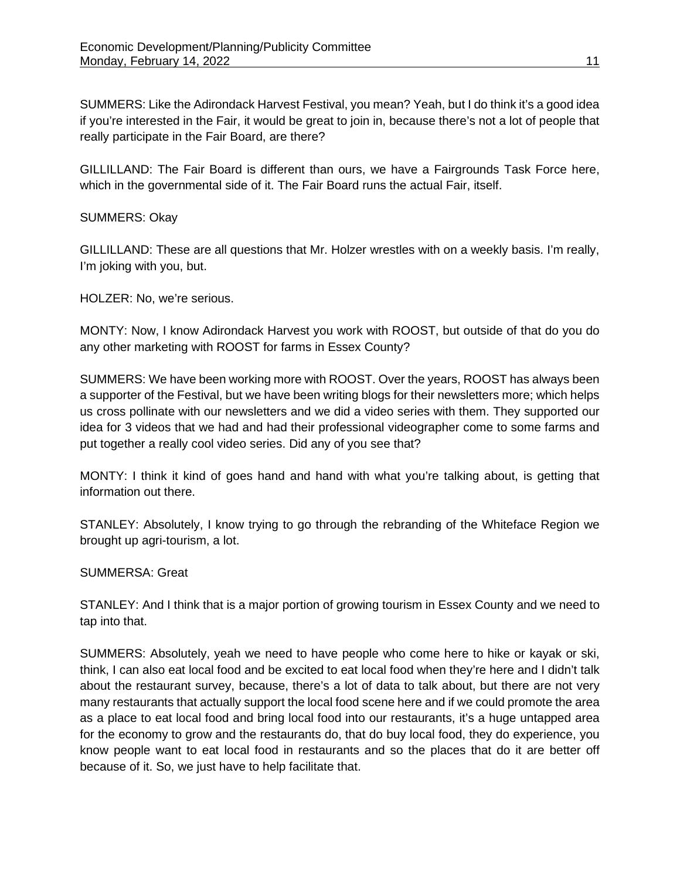SUMMERS: Like the Adirondack Harvest Festival, you mean? Yeah, but I do think it's a good idea if you're interested in the Fair, it would be great to join in, because there's not a lot of people that really participate in the Fair Board, are there?

GILLILLAND: The Fair Board is different than ours, we have a Fairgrounds Task Force here, which in the governmental side of it. The Fair Board runs the actual Fair, itself.

#### SUMMERS: Okay

GILLILLAND: These are all questions that Mr. Holzer wrestles with on a weekly basis. I'm really, I'm joking with you, but.

HOLZER: No, we're serious.

MONTY: Now, I know Adirondack Harvest you work with ROOST, but outside of that do you do any other marketing with ROOST for farms in Essex County?

SUMMERS: We have been working more with ROOST. Over the years, ROOST has always been a supporter of the Festival, but we have been writing blogs for their newsletters more; which helps us cross pollinate with our newsletters and we did a video series with them. They supported our idea for 3 videos that we had and had their professional videographer come to some farms and put together a really cool video series. Did any of you see that?

MONTY: I think it kind of goes hand and hand with what you're talking about, is getting that information out there.

STANLEY: Absolutely, I know trying to go through the rebranding of the Whiteface Region we brought up agri-tourism, a lot.

#### SUMMERSA: Great

STANLEY: And I think that is a major portion of growing tourism in Essex County and we need to tap into that.

SUMMERS: Absolutely, yeah we need to have people who come here to hike or kayak or ski, think, I can also eat local food and be excited to eat local food when they're here and I didn't talk about the restaurant survey, because, there's a lot of data to talk about, but there are not very many restaurants that actually support the local food scene here and if we could promote the area as a place to eat local food and bring local food into our restaurants, it's a huge untapped area for the economy to grow and the restaurants do, that do buy local food, they do experience, you know people want to eat local food in restaurants and so the places that do it are better off because of it. So, we just have to help facilitate that.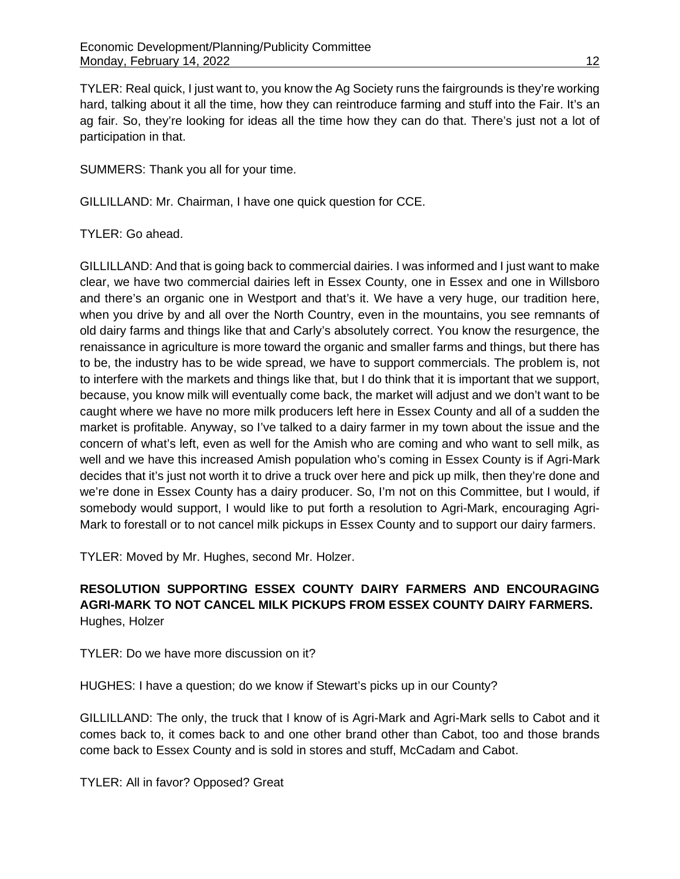TYLER: Real quick, I just want to, you know the Ag Society runs the fairgrounds is they're working hard, talking about it all the time, how they can reintroduce farming and stuff into the Fair. It's an ag fair. So, they're looking for ideas all the time how they can do that. There's just not a lot of participation in that.

SUMMERS: Thank you all for your time.

GILLILLAND: Mr. Chairman, I have one quick question for CCE.

TYLER: Go ahead.

GILLILLAND: And that is going back to commercial dairies. I was informed and I just want to make clear, we have two commercial dairies left in Essex County, one in Essex and one in Willsboro and there's an organic one in Westport and that's it. We have a very huge, our tradition here, when you drive by and all over the North Country, even in the mountains, you see remnants of old dairy farms and things like that and Carly's absolutely correct. You know the resurgence, the renaissance in agriculture is more toward the organic and smaller farms and things, but there has to be, the industry has to be wide spread, we have to support commercials. The problem is, not to interfere with the markets and things like that, but I do think that it is important that we support, because, you know milk will eventually come back, the market will adjust and we don't want to be caught where we have no more milk producers left here in Essex County and all of a sudden the market is profitable. Anyway, so I've talked to a dairy farmer in my town about the issue and the concern of what's left, even as well for the Amish who are coming and who want to sell milk, as well and we have this increased Amish population who's coming in Essex County is if Agri-Mark decides that it's just not worth it to drive a truck over here and pick up milk, then they're done and we're done in Essex County has a dairy producer. So, I'm not on this Committee, but I would, if somebody would support, I would like to put forth a resolution to Agri-Mark, encouraging Agri-Mark to forestall or to not cancel milk pickups in Essex County and to support our dairy farmers.

TYLER: Moved by Mr. Hughes, second Mr. Holzer.

# **RESOLUTION SUPPORTING ESSEX COUNTY DAIRY FARMERS AND ENCOURAGING AGRI-MARK TO NOT CANCEL MILK PICKUPS FROM ESSEX COUNTY DAIRY FARMERS.**  Hughes, Holzer

TYLER: Do we have more discussion on it?

HUGHES: I have a question; do we know if Stewart's picks up in our County?

GILLILLAND: The only, the truck that I know of is Agri-Mark and Agri-Mark sells to Cabot and it comes back to, it comes back to and one other brand other than Cabot, too and those brands come back to Essex County and is sold in stores and stuff, McCadam and Cabot.

TYLER: All in favor? Opposed? Great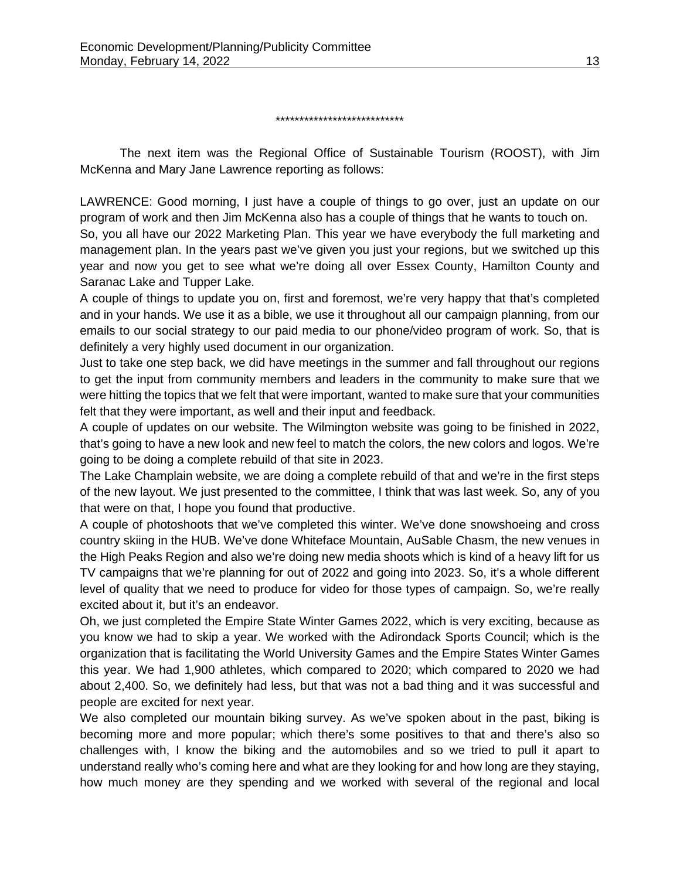#### \*\*\*\*\*\*\*\*\*\*\*\*\*\*\*\*\*\*\*\*\*\*\*\*\*\*\*

The next item was the Regional Office of Sustainable Tourism (ROOST), with Jim McKenna and Mary Jane Lawrence reporting as follows:

LAWRENCE: Good morning, I just have a couple of things to go over, just an update on our program of work and then Jim McKenna also has a couple of things that he wants to touch on. So, you all have our 2022 Marketing Plan. This year we have everybody the full marketing and management plan. In the years past we've given you just your regions, but we switched up this year and now you get to see what we're doing all over Essex County, Hamilton County and Saranac Lake and Tupper Lake.

A couple of things to update you on, first and foremost, we're very happy that that's completed and in your hands. We use it as a bible, we use it throughout all our campaign planning, from our emails to our social strategy to our paid media to our phone/video program of work. So, that is definitely a very highly used document in our organization.

Just to take one step back, we did have meetings in the summer and fall throughout our regions to get the input from community members and leaders in the community to make sure that we were hitting the topics that we felt that were important, wanted to make sure that your communities felt that they were important, as well and their input and feedback.

A couple of updates on our website. The Wilmington website was going to be finished in 2022, that's going to have a new look and new feel to match the colors, the new colors and logos. We're going to be doing a complete rebuild of that site in 2023.

The Lake Champlain website, we are doing a complete rebuild of that and we're in the first steps of the new layout. We just presented to the committee, I think that was last week. So, any of you that were on that, I hope you found that productive.

A couple of photoshoots that we've completed this winter. We've done snowshoeing and cross country skiing in the HUB. We've done Whiteface Mountain, AuSable Chasm, the new venues in the High Peaks Region and also we're doing new media shoots which is kind of a heavy lift for us TV campaigns that we're planning for out of 2022 and going into 2023. So, it's a whole different level of quality that we need to produce for video for those types of campaign. So, we're really excited about it, but it's an endeavor.

Oh, we just completed the Empire State Winter Games 2022, which is very exciting, because as you know we had to skip a year. We worked with the Adirondack Sports Council; which is the organization that is facilitating the World University Games and the Empire States Winter Games this year. We had 1,900 athletes, which compared to 2020; which compared to 2020 we had about 2,400. So, we definitely had less, but that was not a bad thing and it was successful and people are excited for next year.

We also completed our mountain biking survey. As we've spoken about in the past, biking is becoming more and more popular; which there's some positives to that and there's also so challenges with, I know the biking and the automobiles and so we tried to pull it apart to understand really who's coming here and what are they looking for and how long are they staying, how much money are they spending and we worked with several of the regional and local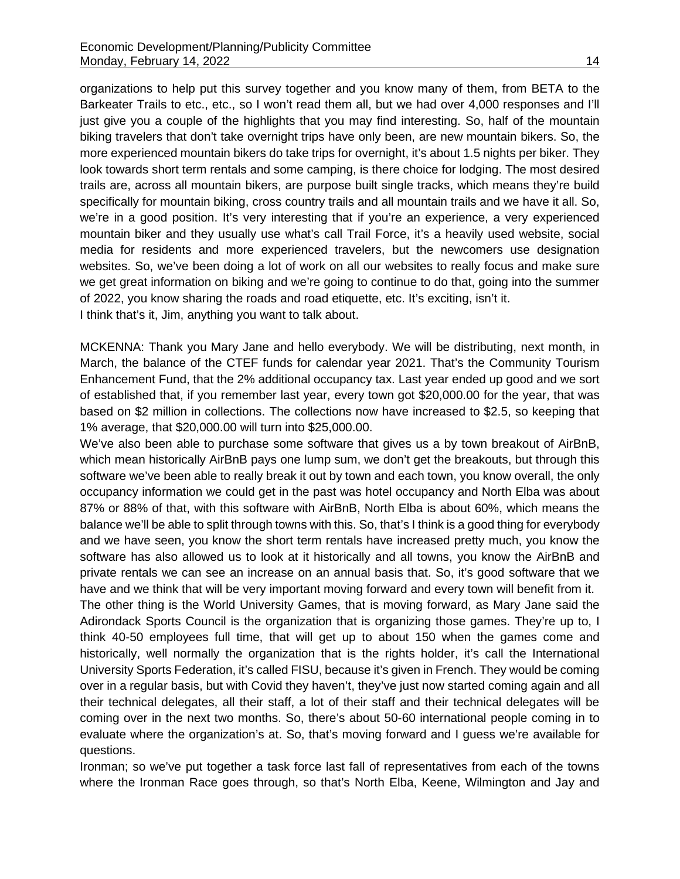organizations to help put this survey together and you know many of them, from BETA to the Barkeater Trails to etc., etc., so I won't read them all, but we had over 4,000 responses and I'll just give you a couple of the highlights that you may find interesting. So, half of the mountain biking travelers that don't take overnight trips have only been, are new mountain bikers. So, the more experienced mountain bikers do take trips for overnight, it's about 1.5 nights per biker. They look towards short term rentals and some camping, is there choice for lodging. The most desired trails are, across all mountain bikers, are purpose built single tracks, which means they're build specifically for mountain biking, cross country trails and all mountain trails and we have it all. So, we're in a good position. It's very interesting that if you're an experience, a very experienced mountain biker and they usually use what's call Trail Force, it's a heavily used website, social media for residents and more experienced travelers, but the newcomers use designation websites. So, we've been doing a lot of work on all our websites to really focus and make sure we get great information on biking and we're going to continue to do that, going into the summer of 2022, you know sharing the roads and road etiquette, etc. It's exciting, isn't it. I think that's it, Jim, anything you want to talk about.

MCKENNA: Thank you Mary Jane and hello everybody. We will be distributing, next month, in March, the balance of the CTEF funds for calendar year 2021. That's the Community Tourism Enhancement Fund, that the 2% additional occupancy tax. Last year ended up good and we sort of established that, if you remember last year, every town got \$20,000.00 for the year, that was based on \$2 million in collections. The collections now have increased to \$2.5, so keeping that 1% average, that \$20,000.00 will turn into \$25,000.00.

We've also been able to purchase some software that gives us a by town breakout of AirBnB, which mean historically AirBnB pays one lump sum, we don't get the breakouts, but through this software we've been able to really break it out by town and each town, you know overall, the only occupancy information we could get in the past was hotel occupancy and North Elba was about 87% or 88% of that, with this software with AirBnB, North Elba is about 60%, which means the balance we'll be able to split through towns with this. So, that's I think is a good thing for everybody and we have seen, you know the short term rentals have increased pretty much, you know the software has also allowed us to look at it historically and all towns, you know the AirBnB and private rentals we can see an increase on an annual basis that. So, it's good software that we have and we think that will be very important moving forward and every town will benefit from it.

The other thing is the World University Games, that is moving forward, as Mary Jane said the Adirondack Sports Council is the organization that is organizing those games. They're up to, I think 40-50 employees full time, that will get up to about 150 when the games come and historically, well normally the organization that is the rights holder, it's call the International University Sports Federation, it's called FISU, because it's given in French. They would be coming over in a regular basis, but with Covid they haven't, they've just now started coming again and all their technical delegates, all their staff, a lot of their staff and their technical delegates will be coming over in the next two months. So, there's about 50-60 international people coming in to evaluate where the organization's at. So, that's moving forward and I guess we're available for questions.

Ironman; so we've put together a task force last fall of representatives from each of the towns where the Ironman Race goes through, so that's North Elba, Keene, Wilmington and Jay and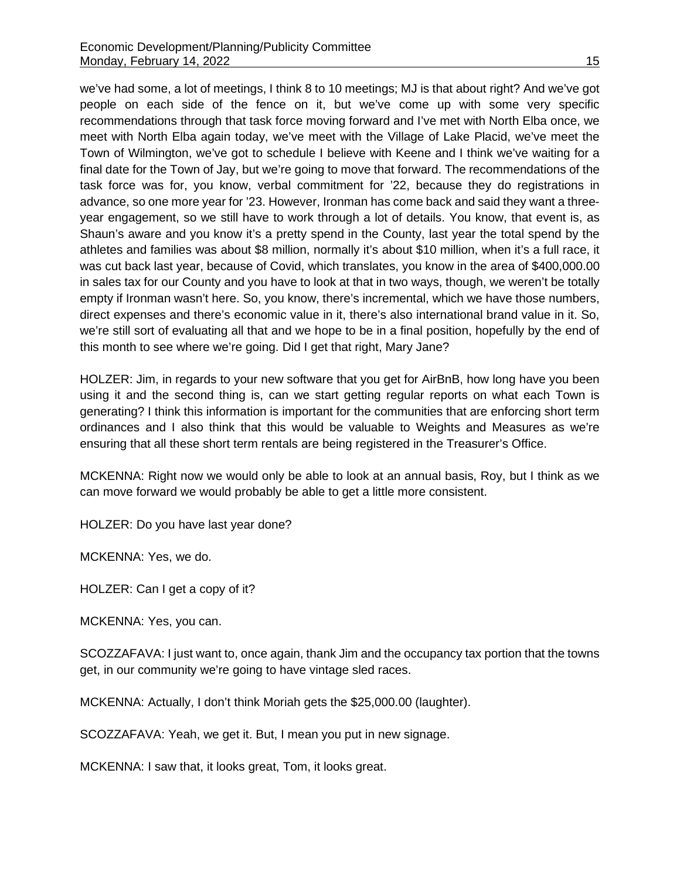we've had some, a lot of meetings, I think 8 to 10 meetings; MJ is that about right? And we've got people on each side of the fence on it, but we've come up with some very specific recommendations through that task force moving forward and I've met with North Elba once, we meet with North Elba again today, we've meet with the Village of Lake Placid, we've meet the Town of Wilmington, we've got to schedule I believe with Keene and I think we've waiting for a final date for the Town of Jay, but we're going to move that forward. The recommendations of the task force was for, you know, verbal commitment for '22, because they do registrations in advance, so one more year for '23. However, Ironman has come back and said they want a threeyear engagement, so we still have to work through a lot of details. You know, that event is, as Shaun's aware and you know it's a pretty spend in the County, last year the total spend by the athletes and families was about \$8 million, normally it's about \$10 million, when it's a full race, it was cut back last year, because of Covid, which translates, you know in the area of \$400,000.00 in sales tax for our County and you have to look at that in two ways, though, we weren't be totally empty if Ironman wasn't here. So, you know, there's incremental, which we have those numbers, direct expenses and there's economic value in it, there's also international brand value in it. So, we're still sort of evaluating all that and we hope to be in a final position, hopefully by the end of this month to see where we're going. Did I get that right, Mary Jane?

HOLZER: Jim, in regards to your new software that you get for AirBnB, how long have you been using it and the second thing is, can we start getting regular reports on what each Town is generating? I think this information is important for the communities that are enforcing short term ordinances and I also think that this would be valuable to Weights and Measures as we're ensuring that all these short term rentals are being registered in the Treasurer's Office.

MCKENNA: Right now we would only be able to look at an annual basis, Roy, but I think as we can move forward we would probably be able to get a little more consistent.

HOLZER: Do you have last year done?

MCKENNA: Yes, we do.

HOLZER: Can I get a copy of it?

MCKENNA: Yes, you can.

SCOZZAFAVA: I just want to, once again, thank Jim and the occupancy tax portion that the towns get, in our community we're going to have vintage sled races.

MCKENNA: Actually, I don't think Moriah gets the \$25,000.00 (laughter).

SCOZZAFAVA: Yeah, we get it. But, I mean you put in new signage.

MCKENNA: I saw that, it looks great, Tom, it looks great.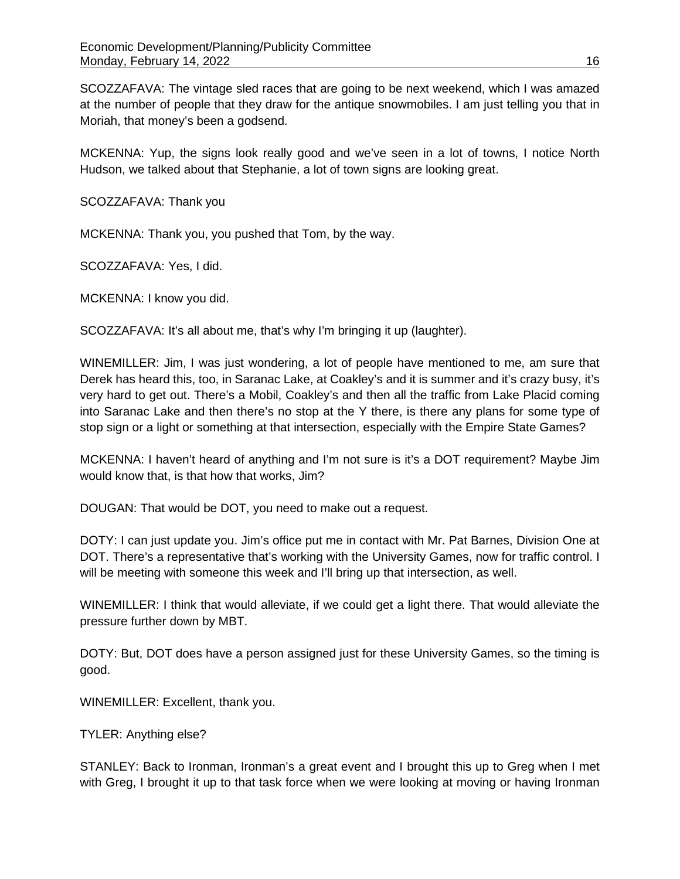SCOZZAFAVA: The vintage sled races that are going to be next weekend, which I was amazed at the number of people that they draw for the antique snowmobiles. I am just telling you that in Moriah, that money's been a godsend.

MCKENNA: Yup, the signs look really good and we've seen in a lot of towns, I notice North Hudson, we talked about that Stephanie, a lot of town signs are looking great.

SCOZZAFAVA: Thank you

MCKENNA: Thank you, you pushed that Tom, by the way.

SCOZZAFAVA: Yes, I did.

MCKENNA: I know you did.

SCOZZAFAVA: It's all about me, that's why I'm bringing it up (laughter).

WINEMILLER: Jim, I was just wondering, a lot of people have mentioned to me, am sure that Derek has heard this, too, in Saranac Lake, at Coakley's and it is summer and it's crazy busy, it's very hard to get out. There's a Mobil, Coakley's and then all the traffic from Lake Placid coming into Saranac Lake and then there's no stop at the Y there, is there any plans for some type of stop sign or a light or something at that intersection, especially with the Empire State Games?

MCKENNA: I haven't heard of anything and I'm not sure is it's a DOT requirement? Maybe Jim would know that, is that how that works, Jim?

DOUGAN: That would be DOT, you need to make out a request.

DOTY: I can just update you. Jim's office put me in contact with Mr. Pat Barnes, Division One at DOT. There's a representative that's working with the University Games, now for traffic control. I will be meeting with someone this week and I'll bring up that intersection, as well.

WINEMILLER: I think that would alleviate, if we could get a light there. That would alleviate the pressure further down by MBT.

DOTY: But, DOT does have a person assigned just for these University Games, so the timing is good.

WINEMILLER: Excellent, thank you.

TYLER: Anything else?

STANLEY: Back to Ironman, Ironman's a great event and I brought this up to Greg when I met with Greg, I brought it up to that task force when we were looking at moving or having Ironman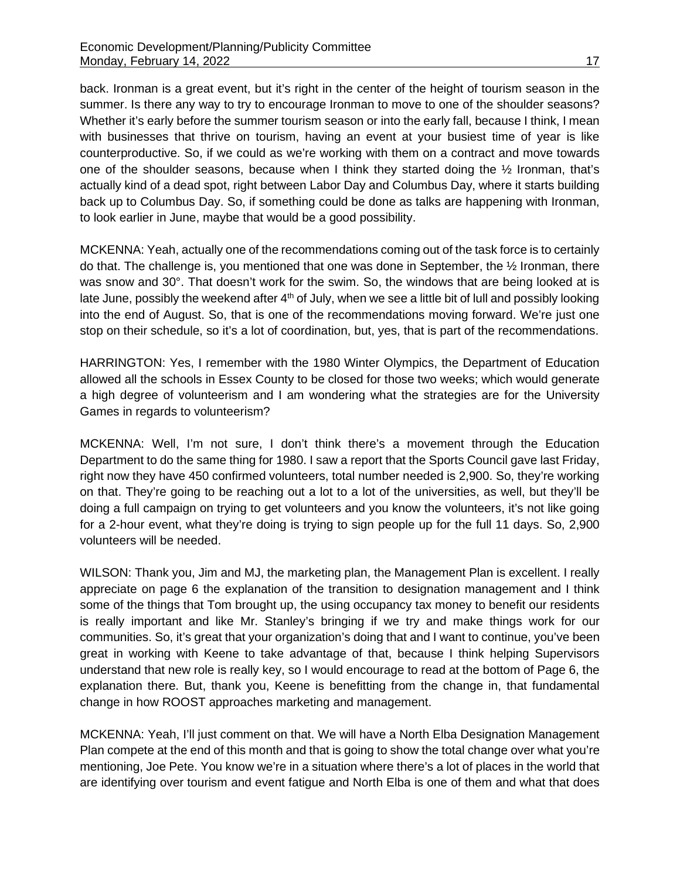back. Ironman is a great event, but it's right in the center of the height of tourism season in the summer. Is there any way to try to encourage Ironman to move to one of the shoulder seasons? Whether it's early before the summer tourism season or into the early fall, because I think, I mean with businesses that thrive on tourism, having an event at your busiest time of year is like counterproductive. So, if we could as we're working with them on a contract and move towards one of the shoulder seasons, because when I think they started doing the ½ Ironman, that's actually kind of a dead spot, right between Labor Day and Columbus Day, where it starts building back up to Columbus Day. So, if something could be done as talks are happening with Ironman, to look earlier in June, maybe that would be a good possibility.

MCKENNA: Yeah, actually one of the recommendations coming out of the task force is to certainly do that. The challenge is, you mentioned that one was done in September, the ½ Ironman, there was snow and 30°. That doesn't work for the swim. So, the windows that are being looked at is late June, possibly the weekend after 4<sup>th</sup> of July, when we see a little bit of lull and possibly looking into the end of August. So, that is one of the recommendations moving forward. We're just one stop on their schedule, so it's a lot of coordination, but, yes, that is part of the recommendations.

HARRINGTON: Yes, I remember with the 1980 Winter Olympics, the Department of Education allowed all the schools in Essex County to be closed for those two weeks; which would generate a high degree of volunteerism and I am wondering what the strategies are for the University Games in regards to volunteerism?

MCKENNA: Well, I'm not sure, I don't think there's a movement through the Education Department to do the same thing for 1980. I saw a report that the Sports Council gave last Friday, right now they have 450 confirmed volunteers, total number needed is 2,900. So, they're working on that. They're going to be reaching out a lot to a lot of the universities, as well, but they'll be doing a full campaign on trying to get volunteers and you know the volunteers, it's not like going for a 2-hour event, what they're doing is trying to sign people up for the full 11 days. So, 2,900 volunteers will be needed.

WILSON: Thank you, Jim and MJ, the marketing plan, the Management Plan is excellent. I really appreciate on page 6 the explanation of the transition to designation management and I think some of the things that Tom brought up, the using occupancy tax money to benefit our residents is really important and like Mr. Stanley's bringing if we try and make things work for our communities. So, it's great that your organization's doing that and I want to continue, you've been great in working with Keene to take advantage of that, because I think helping Supervisors understand that new role is really key, so I would encourage to read at the bottom of Page 6, the explanation there. But, thank you, Keene is benefitting from the change in, that fundamental change in how ROOST approaches marketing and management.

MCKENNA: Yeah, I'll just comment on that. We will have a North Elba Designation Management Plan compete at the end of this month and that is going to show the total change over what you're mentioning, Joe Pete. You know we're in a situation where there's a lot of places in the world that are identifying over tourism and event fatigue and North Elba is one of them and what that does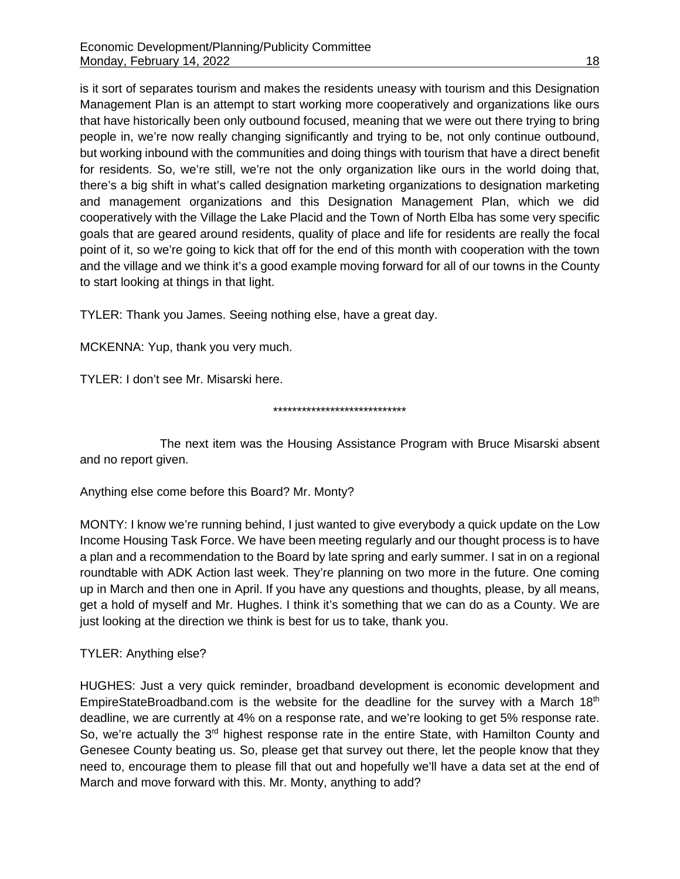is it sort of separates tourism and makes the residents uneasy with tourism and this Designation Management Plan is an attempt to start working more cooperatively and organizations like ours that have historically been only outbound focused, meaning that we were out there trying to bring people in, we're now really changing significantly and trying to be, not only continue outbound, but working inbound with the communities and doing things with tourism that have a direct benefit for residents. So, we're still, we're not the only organization like ours in the world doing that, there's a big shift in what's called designation marketing organizations to designation marketing and management organizations and this Designation Management Plan, which we did cooperatively with the Village the Lake Placid and the Town of North Elba has some very specific goals that are geared around residents, quality of place and life for residents are really the focal point of it, so we're going to kick that off for the end of this month with cooperation with the town and the village and we think it's a good example moving forward for all of our towns in the County to start looking at things in that light.

TYLER: Thank you James. Seeing nothing else, have a great day.

MCKENNA: Yup, thank you very much.

TYLER: I don't see Mr. Misarski here.

#### \*\*\*\*\*\*\*\*\*\*\*\*\*\*\*\*\*\*\*\*\*\*\*\*\*\*\*\*

The next item was the Housing Assistance Program with Bruce Misarski absent and no report given.

Anything else come before this Board? Mr. Monty?

MONTY: I know we're running behind, I just wanted to give everybody a quick update on the Low Income Housing Task Force. We have been meeting regularly and our thought process is to have a plan and a recommendation to the Board by late spring and early summer. I sat in on a regional roundtable with ADK Action last week. They're planning on two more in the future. One coming up in March and then one in April. If you have any questions and thoughts, please, by all means, get a hold of myself and Mr. Hughes. I think it's something that we can do as a County. We are just looking at the direction we think is best for us to take, thank you.

TYLER: Anything else?

HUGHES: Just a very quick reminder, broadband development is economic development and EmpireStateBroadband.com is the website for the deadline for the survey with a March 18<sup>th</sup> deadline, we are currently at 4% on a response rate, and we're looking to get 5% response rate. So, we're actually the 3<sup>rd</sup> highest response rate in the entire State, with Hamilton County and Genesee County beating us. So, please get that survey out there, let the people know that they need to, encourage them to please fill that out and hopefully we'll have a data set at the end of March and move forward with this. Mr. Monty, anything to add?